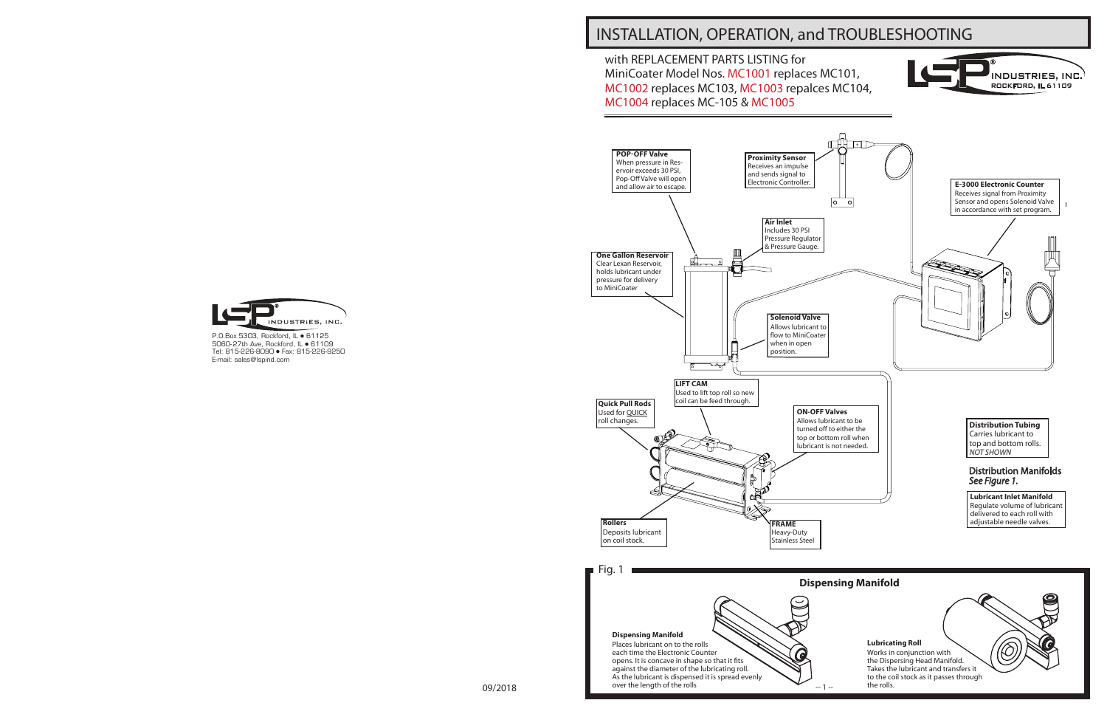# INSTALLATION, OPERATION, and TROUBLESHOOTING





P.O.Box 5303, Rockford, IL • 61125 5060-27th Ave, Rockford, IL · 61109 Tel: 815-226-8090 Fax: 815-226-9250 E-mail: sales@lspind.com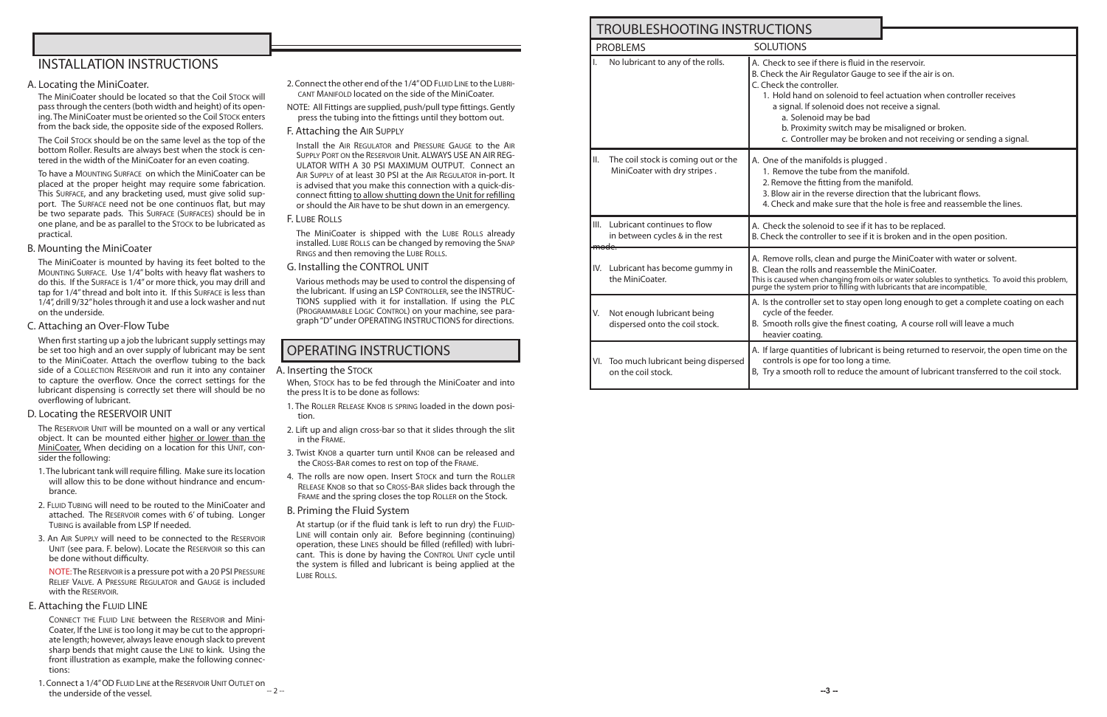## INSTALLATION INSTRUCTIONS

### A. Locating the MiniCoater.

The MiniCoater should be located so that the Coil Stock will pass through the centers (both width and height) of its opening. The MiniCoater must be oriented so the Coil Stock enters from the back side, the opposite side of the exposed Rollers.

The Coil Stock should be on the same level as the top of the bottom Roller. Results are always best when the stock is centered in the width of the MiniCoater for an even coating.

To have a MOUNTING SURFACE on which the MiniCoater can be placed at the proper height may require some fabrication. This Surface, and any bracketing used, must give solid support. The Surface need not be one continuos flat, but may be two separate pads. This Surface (Surfaces) should be in one plane, and be as parallel to the Stock to be lubricated as practical.

### B. Mounting the MiniCoater

The RESERVOIR UNIT will be mounted on a wall or any vertical object. It can be mounted either higher or lower than the MiniCoater, When deciding on a location for this UNIT, consider the following:

The MiniCoater is mounted by having its feet bolted to the Mounting Surface. Use 1/4" bolts with heavy flat washers to do this. If the Surface is 1/4" or more thick, you may drill and tap for 1/4" thread and bolt into it. If this Surface is less than 1/4", drill 9/32" holes through it and use a lock washer and nut on the underside.

NOTE: The Reservoir is a pressure pot with a 20 PSI Pressure RELIEF VALVE. A PRESSURE REGULATOR and GAUGE is included with the RESERVOIR.

### E. Attaching the FLUID LINE

C. Attaching an Over-Flow Tube

1. Connect a 1/4" OD FLUID LINE at the RESERVOIR UNIT OUTLET on the underside of the vessel.

When first starting up a job the lubricant supply settings may be set too high and an over supply of lubricant may be sent to the MiniCoater. Attach the overflow tubing to the back side of a COLLECTION RESERVOIR and run it into any container to capture the overflow. Once the correct settings for the lubricant dispensing is correctly set there will should be no overflowing of lubricant.

- 2. Connect the other end of the 1/4" OD FLUID LINE to the LUBRIcant Manifold located on the side of the MiniCoater.
- NOTE: All Fittings are supplied, push/pull type fittings. Gently press the tubing into the fittings until they bottom out.
- F. Attaching the Air Supply

### D. Locating the RESERVOIR UNIT

The MiniCoater is shipped with the LUBE ROLLS already installed. LUBE ROLLS can be changed by removing the SNAP Rings and then removing the Lube Rolls.

- 1. The lubricant tank will require filling. Make sure its location will allow this to be done without hindrance and encumbrance.
- 2. FLUID TUBING will need to be routed to the MiniCoater and attached. The RESERVOIR comes with 6' of tubing. Longer Tubing is available from LSP If needed.
- 3. An Air Supply will need to be connected to the Reservoir UNIT (see para. F. below). Locate the RESERVOIR so this can be done without difficulty.

 Connect the Fluid Line between the Reservoir and Mini-Coater, If the Line is too long it may be cut to the appropriate length; however, always leave enough slack to prevent sharp bends that might cause the Line to kink. Using the front illustration as example, make the following connections:

Install the Air Regulator and Pressure Gauge to the Air Supply Port on the Reservoir Unit. ALWAYS USE AN AIR REG-ULATOR WITH A 30 PSI MAXIMUM OUTPUT. Connect an Air Supply of at least 30 PSI at the Air Regulator in-port. It is advised that you make this connection with a quick-disconnect fitting to allow shutting down the Unit for refilling or should the Air have to be shut down in an emergency.

### F. Lube Rolls

G. Installing the CONTROL UNIT

Various methods may be used to control the dispensing of the lubricant. If using an LSP CONTROLLER, see the INSTRUC-TIONS supplied with it for installation. If using the PLC (Programmable Logic Control) on your machine, see paragraph "D" under OPERATING INSTRUCTIONS for directions.

## OPERATING INSTRUCTIONS

### A. Inserting the Stock

When, Stock has to be fed through the MiniCoater and into the press It is to be done as follows:

- 1. The Roller Release Knob is spring loaded in the down position.
- 2. Lift up and align cross-bar so that it slides through the slit in the Frame.
- 3. Twist KNOB a quarter turn until KNOB can be released and the Cross-Bar comes to rest on top of the Frame.
- 4. The rolls are now open. Insert STOCK and turn the ROLLER Release Knob so that so Cross-Bar slides back through the FRAME and the spring closes the top ROLLER on the Stock.
- B. Priming the Fluid System

At startup (or if the fluid tank is left to run dry) the FLUID-Line will contain only air. Before beginning (continuing) operation, these Lines should be filled (refilled) with lubricant. This is done by having the CONTROL UNIT cycle until the system is filled and lubricant is being applied at the LUBE ROLLS.

|     | TROUBLESHOOTING INSTRUCTIONS                                        |                                                                                                                                                                                                                                                                                                                                                                                                                             |  |  |  |  |  |
|-----|---------------------------------------------------------------------|-----------------------------------------------------------------------------------------------------------------------------------------------------------------------------------------------------------------------------------------------------------------------------------------------------------------------------------------------------------------------------------------------------------------------------|--|--|--|--|--|
|     | <b>SOLUTIONS</b><br><b>PROBLEMS</b>                                 |                                                                                                                                                                                                                                                                                                                                                                                                                             |  |  |  |  |  |
|     | No lubricant to any of the rolls.                                   | A. Check to see if there is fluid in the reservoir.<br>B. Check the Air Regulator Gauge to see if the air is on.<br>C. Check the controller.<br>1. Hold hand on solenoid to feel actuation when controller receives<br>a signal. If solenoid does not receive a signal.<br>a. Solenoid may be bad<br>b. Proximity switch may be misaligned or broken.<br>c. Controller may be broken and not receiving or sending a signal. |  |  |  |  |  |
| II. | The coil stock is coming out or the<br>MiniCoater with dry stripes. | A. One of the manifolds is plugged.<br>1. Remove the tube from the manifold.<br>2. Remove the fitting from the manifold.<br>3. Blow air in the reverse direction that the lubricant flows.<br>4. Check and make sure that the hole is free and reassemble the lines.                                                                                                                                                        |  |  |  |  |  |
|     | III. Lubricant continues to flow<br>in between cycles & in the rest | A. Check the solenoid to see if it has to be replaced.<br>B. Check the controller to see if it is broken and in the open position.                                                                                                                                                                                                                                                                                          |  |  |  |  |  |
|     | IV. Lubricant has become gummy in<br>the MiniCoater.                | A. Remove rolls, clean and purge the MiniCoater with water or solvent.<br>B. Clean the rolls and reassemble the MiniCoater.<br>This is caused when changing from oils or water solubles to synthetics. To avoid this problem, purge the system prior to filling with lubricants that are incompatible.                                                                                                                      |  |  |  |  |  |
| V.  | Not enough lubricant being<br>dispersed onto the coil stock.        | A. Is the controller set to stay open long enough to get a complete coating on each<br>cycle of the feeder.<br>B. Smooth rolls give the finest coating, A course roll will leave a much<br>heavier coating.                                                                                                                                                                                                                 |  |  |  |  |  |
|     | VI. Too much lubricant being dispersed<br>on the coil stock.        | A. If large quantities of lubricant is being returned to reservoir, the open time on the<br>controls is ope for too long a time.<br>B, Try a smooth roll to reduce the amount of lubricant transferred to the coil stock.                                                                                                                                                                                                   |  |  |  |  |  |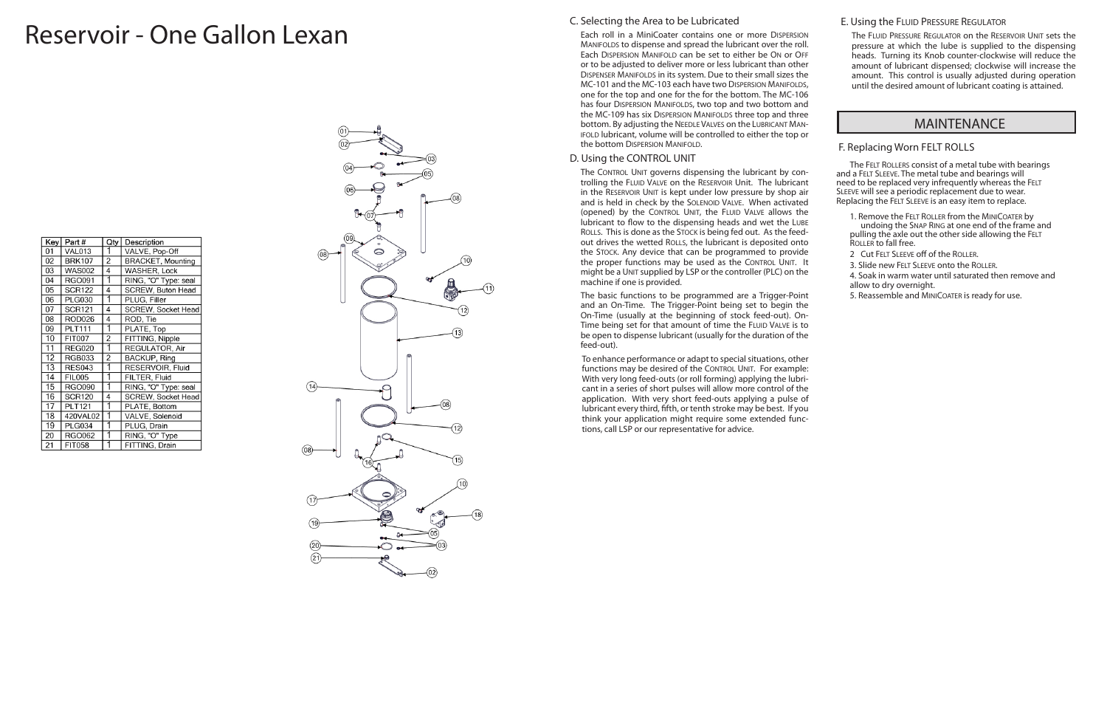## C. Selecting the Area to be Lubricated

Each roll in a MiniCoater contains one or more DISPERSION MANIFOLDS to dispense and spread the lubricant over the roll. Each DISPERSION MANIFOLD can be set to either be ON or OFF or to be adjusted to deliver more or less lubricant than other Dispenser Manifolds in its system. Due to their small sizes the MC-101 and the MC-103 each have two DISPERSION MANIFOLDS, one for the top and one for the for the bottom. The MC-106 has four DISPERSION MANIFOLDS, two top and two bottom and the MC-109 has six DISPERSION MANIFOLDS three top and three bottom. By adjusting the NEEDLE VALVES on the LUBRICANT MANifold lubricant, volume will be controlled to either the top or the bottom DISPERSION MANIFOLD.

The CONTROL UNIT governs dispensing the lubricant by controlling the FLUID VALVE on the RESERVOIR Unit. The lubricant in the RESERVOIR UNIT is kept under low pressure by shop air and is held in check by the Solenoid Valve. When activated (opened) by the CONTROL UNIT, the FLUID VALVE allows the lubricant to flow to the dispensing heads and wet the LUBE ROLLS. This is done as the STOCK is being fed out. As the feedout drives the wetted ROLLS, the lubricant is deposited onto the Stock. Any device that can be programmed to provide the proper functions may be used as the CONTROL UNIT. It might be a UNIT supplied by LSP or the controller (PLC) on the machine if one is provided.

### D. Using the CONTROL UNIT

The basic functions to be programmed are a Trigger-Point and an On-Time. The Trigger-Point being set to begin the On-Time (usually at the beginning of stock feed-out). On-Time being set for that amount of time the FLUID VALVE is to be open to dispense lubricant (usually for the duration of the feed-out).

The FLUID PRESSURE REGULATOR on the RESERVOIR UNIT sets the pressure at which the lube is supplied to the dispensing heads. Turning its Knob counter-clockwise will reduce the amount of lubricant dispensed; clockwise will increase the amount. This control is usually adjusted during operation until the desired amount of lubricant coating is attained.

To enhance performance or adapt to special situations, other functions may be desired of the CONTROL UNIT. For example: With very long feed-outs (or roll forming) applying the lubri cant in a series of short pulses will allow more control of the application. With very short feed-outs applying a pulse of lubricant every third, fifth, or tenth stroke may be best. If you think your application might require some extended func tions, call LSP or our representative for advice.

## E. Using the FLUID PRESSURE REGULATOR

### F. Replacing Worn FELT ROLLS

The Felt Roller s consist of a metal tube with bearings and a FELT SLEEVE. The metal tube and bearings will need to be replaced very infrequently whereas the FELT<br>SLEEVE will see a periodic replacement due to wear. Replacing the Felt Sleeve is an easy item to replace.

1. Remove the FELT ROLLER from the MINICOATER by undoing the Snap Ring at one end of the frame and pulling the axle out the other side allowing the FELT ROLLER to fall free.

2 Cut FELT SLEEVE off of the ROLLER.

3. Slide new Felt Sleeve onto the Roller .

4. Soak in warm water until saturated then remove and allow to dry overnight.

5. Reassemble and MINICOATER is ready for use.

## MAINTENANCE

# Reservoir - One Gallon Lexan

| Key             | Part#         | Qty            | Description               |
|-----------------|---------------|----------------|---------------------------|
| 01              | VAL013        |                | VALVE, Pop-Off            |
| 02              | <b>BRK107</b> | 2              | <b>BRACKET, Mounting</b>  |
| 03              | <b>WAS002</b> | 4              | WASHER, Lock              |
| 04              | RGO091        |                | RING, "O" Type: seal      |
| 05              | <b>SCR122</b> | 4              | SCREW, Buton Head         |
| 06              | <b>PLG030</b> | 1              | PLUG, Filler              |
| 07              | <b>SCR121</b> | 4              | <b>SCREW, Socket Head</b> |
| 08              | <b>ROD026</b> | 4              | ROD, Tie                  |
| 09              | <b>PLT111</b> | 1              | PLATE, Top                |
| 10              | <b>FIT007</b> | 2              | FITTING, Nipple           |
| 11              | <b>REG020</b> |                | REGULATOR, Air            |
| $\overline{12}$ | <b>RGB033</b> | $\overline{2}$ | <b>BACKUP, Ring</b>       |
| 13              | <b>RES043</b> |                | RESERVOIR, Fluid          |
| 14              | <b>FIL005</b> |                | FILTER, Fluid             |
| 15              | <b>RGO090</b> |                | RING, "O" Type: seal      |
| 16              | <b>SCR120</b> | 4              | <b>SCREW, Socket Head</b> |
| $\overline{17}$ | <b>PLT121</b> | 1              | PLATE, Bottom             |
| 18              | 420VAL02      |                | VALVE, Solenoid           |
| 19              | <b>PLG034</b> |                | PLUG, Drain               |
| 20              | RGO062        |                | RING, "O" Type            |
| 21              | <b>FIT058</b> |                | FITTING, Drain            |